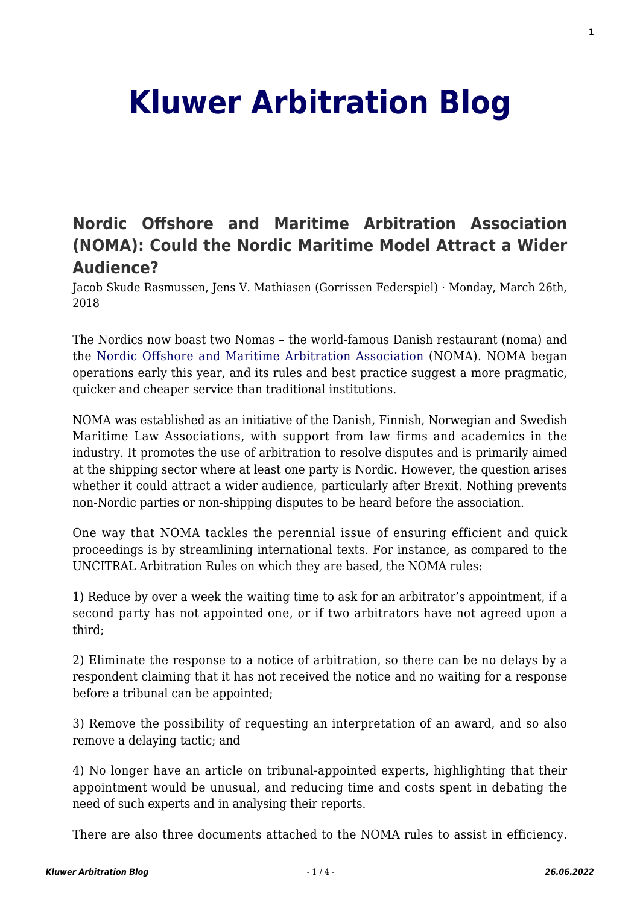## **[Kluwer Arbitration Blog](http://arbitrationblog.kluwerarbitration.com/)**

## **[Nordic Offshore and Maritime Arbitration Association](http://arbitrationblog.kluwerarbitration.com/2018/03/26/nordic-offshore-and-maritime-arbitration-association/) [\(NOMA\): Could the Nordic Maritime Model Attract a Wider](http://arbitrationblog.kluwerarbitration.com/2018/03/26/nordic-offshore-and-maritime-arbitration-association/) [Audience?](http://arbitrationblog.kluwerarbitration.com/2018/03/26/nordic-offshore-and-maritime-arbitration-association/)**

Jacob Skude Rasmussen, Jens V. Mathiasen (Gorrissen Federspiel) · Monday, March 26th, 2018

The Nordics now boast two Nomas – the world-famous Danish restaurant (noma) and the [Nordic Offshore and Maritime Arbitration Association](http://nordicarbitration.org/) (NOMA). NOMA began operations early this year, and its rules and best practice suggest a more pragmatic, quicker and cheaper service than traditional institutions.

NOMA was established as an initiative of the Danish, Finnish, Norwegian and Swedish Maritime Law Associations, with support from law firms and academics in the industry. It promotes the use of arbitration to resolve disputes and is primarily aimed at the shipping sector where at least one party is Nordic. However, the question arises whether it could attract a wider audience, particularly after Brexit. Nothing prevents non-Nordic parties or non-shipping disputes to be heard before the association.

One way that NOMA tackles the perennial issue of ensuring efficient and quick proceedings is by streamlining international texts. For instance, as compared to the UNCITRAL Arbitration Rules on which they are based, the NOMA rules:

1) Reduce by over a week the waiting time to ask for an arbitrator's appointment, if a second party has not appointed one, or if two arbitrators have not agreed upon a third;

2) Eliminate the response to a notice of arbitration, so there can be no delays by a respondent claiming that it has not received the notice and no waiting for a response before a tribunal can be appointed;

3) Remove the possibility of requesting an interpretation of an award, and so also remove a delaying tactic; and

4) No longer have an article on tribunal-appointed experts, highlighting that their appointment would be unusual, and reducing time and costs spent in debating the need of such experts and in analysing their reports.

There are also three documents attached to the NOMA rules to assist in efficiency.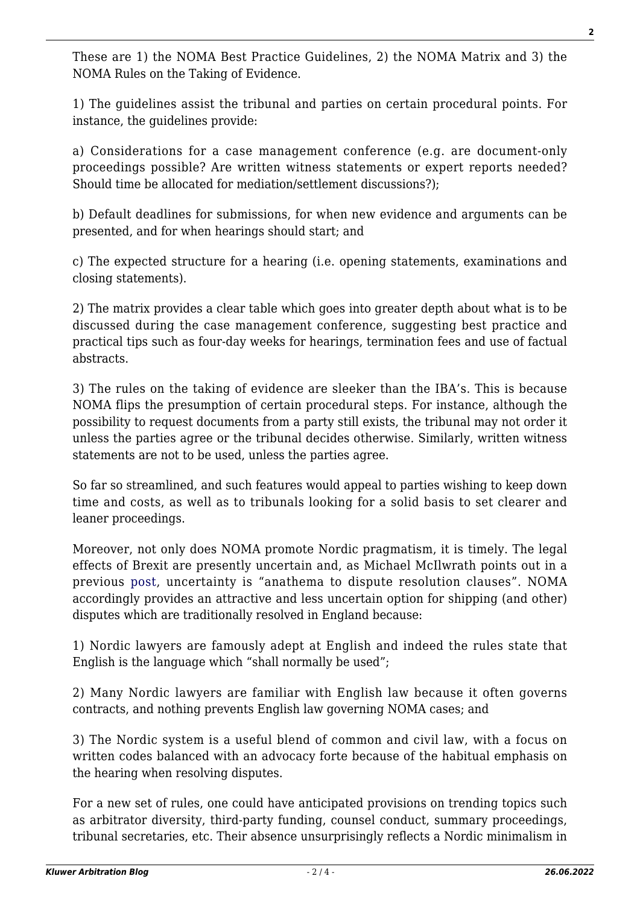These are 1) the NOMA Best Practice Guidelines, 2) the NOMA Matrix and 3) the NOMA Rules on the Taking of Evidence.

1) The guidelines assist the tribunal and parties on certain procedural points. For instance, the guidelines provide:

a) Considerations for a case management conference (e.g. are document-only proceedings possible? Are written witness statements or expert reports needed? Should time be allocated for mediation/settlement discussions?);

b) Default deadlines for submissions, for when new evidence and arguments can be presented, and for when hearings should start; and

c) The expected structure for a hearing (i.e. opening statements, examinations and closing statements).

2) The matrix provides a clear table which goes into greater depth about what is to be discussed during the case management conference, suggesting best practice and practical tips such as four-day weeks for hearings, termination fees and use of factual abstracts.

3) The rules on the taking of evidence are sleeker than the IBA's. This is because NOMA flips the presumption of certain procedural steps. For instance, although the possibility to request documents from a party still exists, the tribunal may not order it unless the parties agree or the tribunal decides otherwise. Similarly, written witness statements are not to be used, unless the parties agree.

So far so streamlined, and such features would appeal to parties wishing to keep down time and costs, as well as to tribunals looking for a solid basis to set clearer and leaner proceedings.

Moreover, not only does NOMA promote Nordic pragmatism, it is timely. The legal effects of Brexit are presently uncertain and, as Michael McIlwrath points out in a previous [post,](http://arbitrationblog.kluwerarbitration.com/2016/06/24/will-brexit-hasten-londons-decline-as-a-premier-seat-of-international-arbitration/) uncertainty is "anathema to dispute resolution clauses". NOMA accordingly provides an attractive and less uncertain option for shipping (and other) disputes which are traditionally resolved in England because:

1) Nordic lawyers are famously adept at English and indeed the rules state that English is the language which "shall normally be used";

2) Many Nordic lawyers are familiar with English law because it often governs contracts, and nothing prevents English law governing NOMA cases; and

3) The Nordic system is a useful blend of common and civil law, with a focus on written codes balanced with an advocacy forte because of the habitual emphasis on the hearing when resolving disputes.

For a new set of rules, one could have anticipated provisions on trending topics such as arbitrator diversity, third-party funding, counsel conduct, summary proceedings, tribunal secretaries, etc. Their absence unsurprisingly reflects a Nordic minimalism in **2**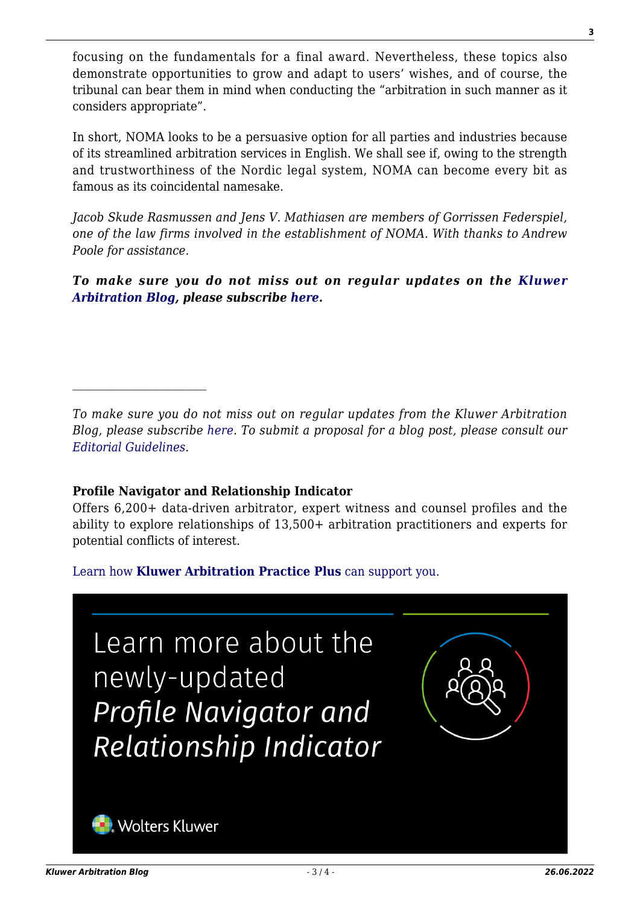focusing on the fundamentals for a final award. Nevertheless, these topics also demonstrate opportunities to grow and adapt to users' wishes, and of course, the tribunal can bear them in mind when conducting the "arbitration in such manner as it considers appropriate".

In short, NOMA looks to be a persuasive option for all parties and industries because of its streamlined arbitration services in English. We shall see if, owing to the strength and trustworthiness of the Nordic legal system, NOMA can become every bit as famous as its coincidental namesake.

*Jacob Skude Rasmussen and Jens V. Mathiasen are members of Gorrissen Federspiel, one of the law firms involved in the establishment of NOMA. With thanks to Andrew Poole for assistance.*

*To make sure you do not miss out on regular updates on the [Kluwer](http://arbitrationblog.kluwerarbitration.com/) [Arbitration Blog](http://arbitrationblog.kluwerarbitration.com/), please subscribe [here.](http://arbitrationblog.kluwerarbitration.com/newsletter/?email=&mailing_list_widget_submit=Subscribe)*

*To make sure you do not miss out on regular updates from the Kluwer Arbitration Blog, please subscribe [here](http://arbitrationblog.kluwerarbitration.com/newsletter/). To submit a proposal for a blog post, please consult our [Editorial Guidelines.](http://arbitrationblog.kluwerarbitration.com/editorial-guidelines/)*

## **Profile Navigator and Relationship Indicator**

Offers 6,200+ data-driven arbitrator, expert witness and counsel profiles and the ability to explore relationships of 13,500+ arbitration practitioners and experts for potential conflicts of interest.

[Learn how](https://www.wolterskluwer.com/en/solutions/kluwerarbitration/practiceplus?utm_source=arbitrationblog&utm_medium=articleCTA&utm_campaign=article-banner) **[Kluwer Arbitration Practice Plus](https://www.wolterskluwer.com/en/solutions/kluwerarbitration/practiceplus?utm_source=arbitrationblog&utm_medium=articleCTA&utm_campaign=article-banner)** [can support you.](https://www.wolterskluwer.com/en/solutions/kluwerarbitration/practiceplus?utm_source=arbitrationblog&utm_medium=articleCTA&utm_campaign=article-banner)